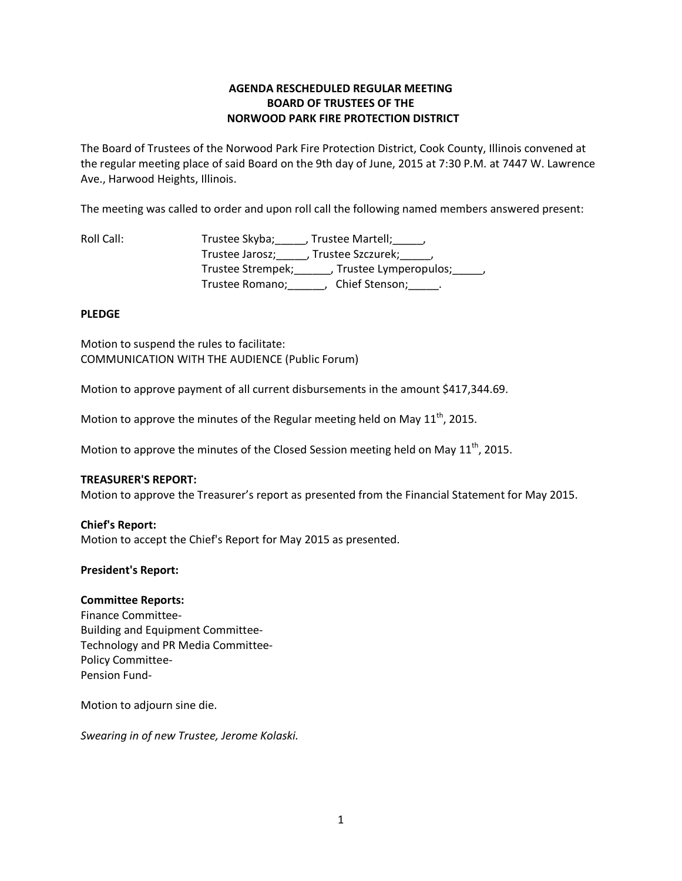# **AGENDA RESCHEDULED REGULAR MEETING BOARD OF TRUSTEES OF THE NORWOOD PARK FIRE PROTECTION DISTRICT**

The Board of Trustees of the Norwood Park Fire Protection District, Cook County, Illinois convened at the regular meeting place of said Board on the 9th day of June, 2015 at 7:30 P.M. at 7447 W. Lawrence Ave., Harwood Heights, Illinois.

The meeting was called to order and upon roll call the following named members answered present:

Roll Call: Trustee Skyba; \_\_\_\_, Trustee Martell; \_\_\_\_, Trustee Jarosz;\_\_\_\_\_, Trustee Szczurek;\_\_\_\_\_, Trustee Strempek;\_\_\_\_\_\_, Trustee Lymperopulos;\_\_\_\_\_, Trustee Romano;\_\_\_\_\_\_, Chief Stenson;\_\_\_\_\_.

## **PLEDGE**

Motion to suspend the rules to facilitate: COMMUNICATION WITH THE AUDIENCE (Public Forum)

Motion to approve payment of all current disbursements in the amount \$417,344.69.

Motion to approve the minutes of the Regular meeting held on May  $11<sup>th</sup>$ , 2015.

Motion to approve the minutes of the Closed Session meeting held on May  $11<sup>th</sup>$ , 2015.

## **TREASURER'S REPORT:**

Motion to approve the Treasurer's report as presented from the Financial Statement for May 2015.

### **Chief's Report:**

Motion to accept the Chief's Report for May 2015 as presented.

### **President's Report:**

### **Committee Reports:**

Finance Committee-Building and Equipment Committee-Technology and PR Media Committee-Policy Committee-Pension Fund-

Motion to adjourn sine die.

*Swearing in of new Trustee, Jerome Kolaski.*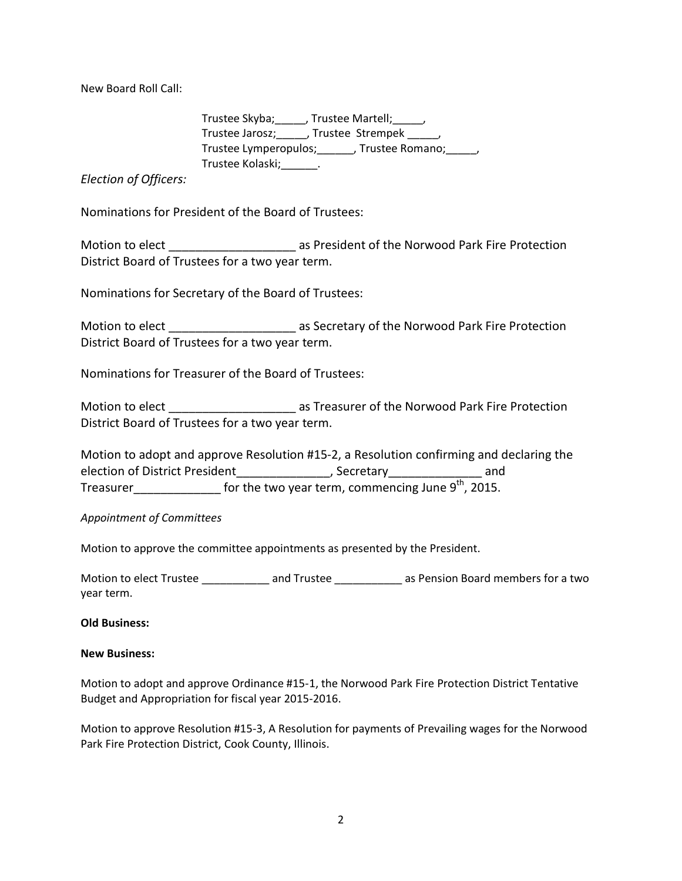New Board Roll Call:

 Trustee Skyba;\_\_\_\_\_, Trustee Martell;\_\_\_\_\_, Trustee Jarosz; JTrustee Strempek (3) Trustee Lymperopulos;\_\_\_\_\_\_, Trustee Romano;\_\_\_\_\_, Trustee Kolaski;\_\_\_\_\_\_.

*Election of Officers:*

Nominations for President of the Board of Trustees:

Motion to elect **Note 20** as President of the Norwood Park Fire Protection District Board of Trustees for a two year term.

Nominations for Secretary of the Board of Trustees:

Motion to elect **Exercise 20** as Secretary of the Norwood Park Fire Protection District Board of Trustees for a two year term.

Nominations for Treasurer of the Board of Trustees:

Motion to elect elect and the Streasurer of the Norwood Park Fire Protection District Board of Trustees for a two year term.

Motion to adopt and approve Resolution #15-2, a Resolution confirming and declaring the election of District President\_\_\_\_\_\_\_\_\_\_\_\_\_\_, Secretary\_\_\_\_\_\_\_\_\_\_\_\_\_\_\_ and Treasurer\_\_\_\_\_\_\_\_\_\_\_\_\_\_\_\_ for the two year term, commencing June 9<sup>th</sup>, 2015.

## *Appointment of Committees*

Motion to approve the committee appointments as presented by the President.

Motion to elect Trustee \_\_\_\_\_\_\_\_\_\_\_\_ and Trustee \_\_\_\_\_\_\_\_\_\_\_\_\_ as Pension Board members for a two year term.

## **Old Business:**

## **New Business:**

Motion to adopt and approve Ordinance #15-1, the Norwood Park Fire Protection District Tentative Budget and Appropriation for fiscal year 2015-2016.

Motion to approve Resolution #15-3, A Resolution for payments of Prevailing wages for the Norwood Park Fire Protection District, Cook County, Illinois.